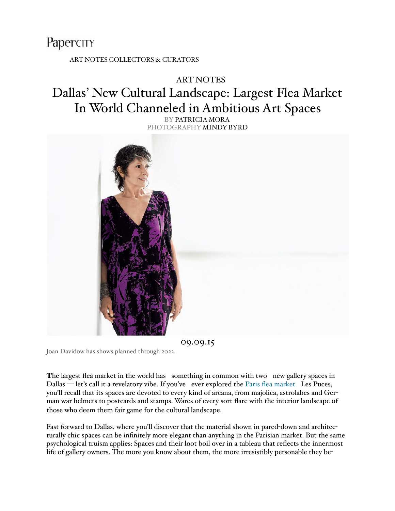## PaperCITY

[ART NOTES](http://www.papercitymag.com/category/arts/art-notes) [COLLECTORS & CURATORS](http://www.papercitymag.com/category/arts/collectors-curators)

## [ART NOTES](http://www.papercitymag.com/category/arts/art-notes/)

## Dallas' New Cultural Landscape: Largest Flea Market In World Channeled in Ambitious Art Spaces

BY [PATRICIA MORA](http://www.papercitymag.com/author/patricia-mora/) PHOTOGRAPHY MINDY BYRD



09.09.15

Joan Davidow has shows planned through 2022.

The largest flea market in the world has something in common with two new gallery spaces in Dallas — let's call it a revelatory vibe. If you've ever explored the [Paris flea market](http://www.tripadvisor.com/ShowUserReviews-g227615-d600725-r142465241-Porte_de_Clignancourt-Saint_Ouen_Seine_Saint_Denis_Ile_de_France.html) Les Puces, you'll recall that its spaces are devoted to every kind of arcana, from majolica, astrolabes and German war helmets to postcards and stamps. Wares of every sort flare with the interior landscape of those who deem them fair game for the cultural landscape.

Fast forward to Dallas, where you'll discover that the material shown in pared-down and architecturally chic spaces can be infinitely more elegant than anything in the Parisian market. But the same psychological truism applies: Spaces and their loot boil over in a tableau that reflects the innermost life of gallery owners. The more you know about them, the more irresistibly personable they be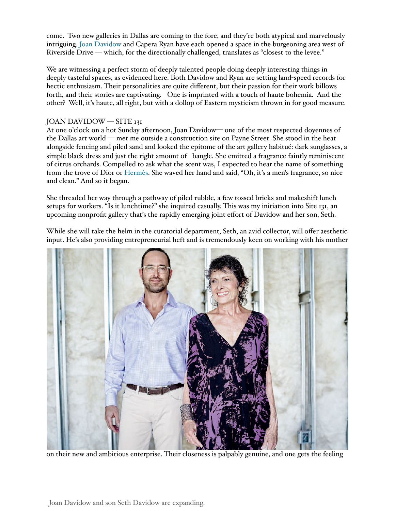come. Two new galleries in Dallas are coming to the fore, and they're both atypical and marvelously intriguing. Joan Davidow and Capera Ryan have each opened a space in the burgeoning area west of Riverside Drive — which, for the directionally challenged, translates as "closest to the levee."

We are witnessing a perfect storm of deeply talented people doing deeply interesting things in deeply tasteful spaces, as evidenced here. Both Davidow and Ryan are setting land-speed records for hectic enthusiasm. Their personalities are quite different, but their passion for their work billows forth, and their stories are captivating. One is imprinted with a touch of haute bohemia. And the other? Well, it's haute, all right, but with a dollop of Eastern mysticism thrown in for good measure.

## JOAN DAVIDOW — SITE 131

At one o'clock on a hot Sunday afternoon, Joan Davidow— one of the most respected doyennes of the Dallas art world — met me outside a construction site on Payne Street. She stood in the heat alongside fencing and piled sand and looked the epitome of the art gallery habitué: dark sunglasses, a simple black dress and just the right amount of bangle. She emitted a fragrance faintly reminiscent of citrus orchards. Compelled to ask what the scent was, I expected to hear the name of something from the trove of Dior o[r Hermès.](http://www.gq-magazine.co.uk/style/articles/2015-09/09/hermes-mens-site-launch-manifeste) She waved her hand and said, "Oh, it's a men's fragrance, so nice and clean." And so it began.

She threaded her way through a pathway of piled rubble, a few tossed bricks and makeshift lunch setups for workers. "Is it lunchtime?" she inquired casually. This was my initiation into Site 131, an upcoming nonprofit gallery that's the rapidly emerging joint effort of Davidow and her son, Seth.

While she will take the helm in the curatorial department, Seth, an avid collector, will offer aesthetic input. He's also providing entrepreneurial heft and is tremendously keen on working with his mother



on their new and ambitious enterprise. Their closeness is palpably genuine, and one gets the feeling